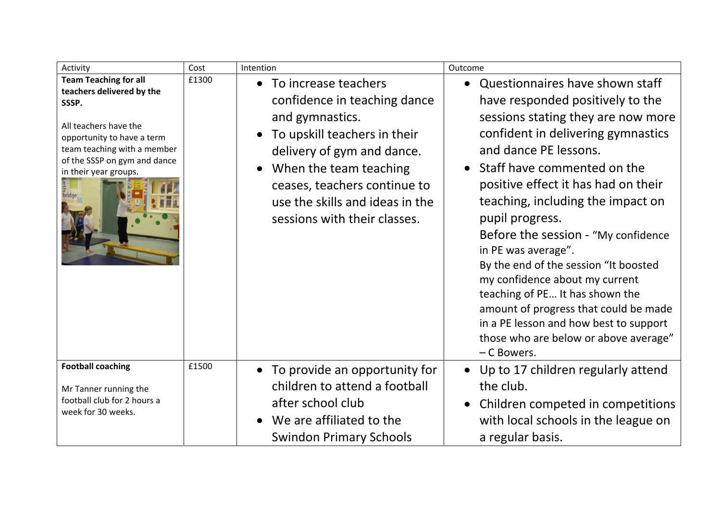| Activity                                                                                                                                                                                                          | Cost  | Intention                                                                                                                                                                                                                                                            | Outcome                                                                                                                                                                                                                                                                                                                                                                                                                                                                                                                                                                                                                                      |
|-------------------------------------------------------------------------------------------------------------------------------------------------------------------------------------------------------------------|-------|----------------------------------------------------------------------------------------------------------------------------------------------------------------------------------------------------------------------------------------------------------------------|----------------------------------------------------------------------------------------------------------------------------------------------------------------------------------------------------------------------------------------------------------------------------------------------------------------------------------------------------------------------------------------------------------------------------------------------------------------------------------------------------------------------------------------------------------------------------------------------------------------------------------------------|
| <b>Team Teaching for all</b><br>teachers delivered by the<br>SSSP.<br>All teachers have the<br>opportunity to have a term<br>team teaching with a member<br>of the SSSP on gym and dance<br>in their year groups. | £1300 | • To increase teachers<br>confidence in teaching dance<br>and gymnastics.<br>To upskill teachers in their<br>delivery of gym and dance.<br>When the team teaching<br>ceases, teachers continue to<br>use the skills and ideas in the<br>sessions with their classes. | Questionnaires have shown staff<br>$\bullet$<br>have responded positively to the<br>sessions stating they are now more<br>confident in delivering gymnastics<br>and dance PE lessons.<br>• Staff have commented on the<br>positive effect it has had on their<br>teaching, including the impact on<br>pupil progress.<br>Before the session - "My confidence<br>in PE was average".<br>By the end of the session "It boosted<br>my confidence about my current<br>teaching of PE It has shown the<br>amount of progress that could be made<br>in a PE lesson and how best to support<br>those who are below or above average"<br>- C Bowers. |
| <b>Football coaching</b><br>Mr Tanner running the<br>football club for 2 hours a<br>week for 30 weeks.                                                                                                            | £1500 | • To provide an opportunity for<br>children to attend a football<br>after school club<br>We are affiliated to the<br>$\bullet$<br><b>Swindon Primary Schools</b>                                                                                                     | • Up to 17 children regularly attend<br>the club.<br>Children competed in competitions<br>$\bullet$<br>with local schools in the league on<br>a regular basis.                                                                                                                                                                                                                                                                                                                                                                                                                                                                               |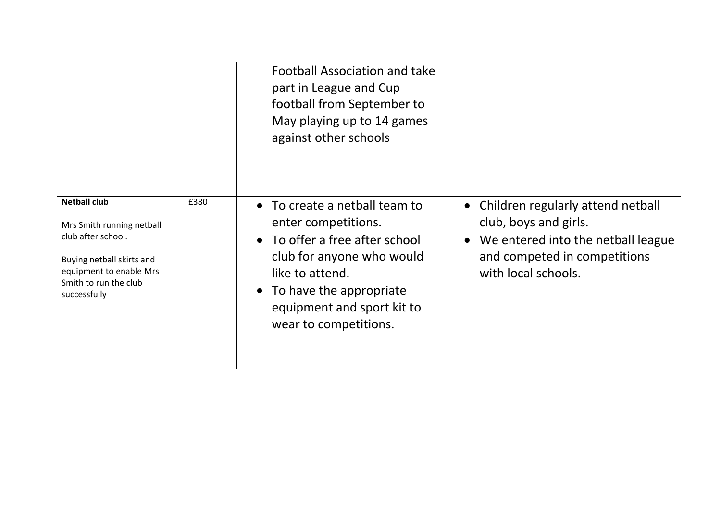|                                                                                                                                                                         |      | <b>Football Association and take</b><br>part in League and Cup<br>football from September to<br>May playing up to 14 games<br>against other schools                                                                        |                                                                                                                                                           |
|-------------------------------------------------------------------------------------------------------------------------------------------------------------------------|------|----------------------------------------------------------------------------------------------------------------------------------------------------------------------------------------------------------------------------|-----------------------------------------------------------------------------------------------------------------------------------------------------------|
| <b>Netball club</b><br>Mrs Smith running netball<br>club after school.<br>Buying netball skirts and<br>equipment to enable Mrs<br>Smith to run the club<br>successfully | £380 | • To create a netball team to<br>enter competitions.<br>• To offer a free after school<br>club for anyone who would<br>like to attend.<br>• To have the appropriate<br>equipment and sport kit to<br>wear to competitions. | • Children regularly attend netball<br>club, boys and girls.<br>We entered into the netball league<br>and competed in competitions<br>with local schools. |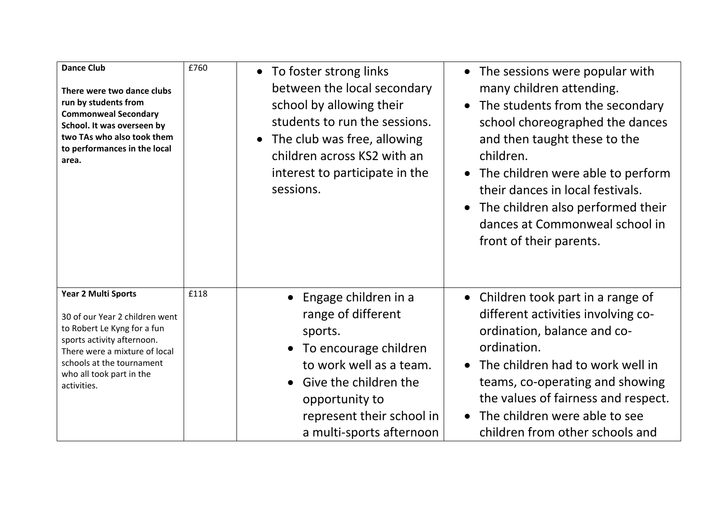| <b>Dance Club</b><br>There were two dance clubs<br>run by students from<br><b>Commonweal Secondary</b><br>School. It was overseen by<br>two TAs who also took them<br>to performances in the local<br>area.                 | £760 | • To foster strong links<br>between the local secondary<br>school by allowing their<br>students to run the sessions.<br>The club was free, allowing<br>$\bullet$<br>children across KS2 with an<br>interest to participate in the<br>sessions. | The sessions were popular with<br>$\bullet$<br>many children attending.<br>The students from the secondary<br>school choreographed the dances<br>and then taught these to the<br>children.<br>• The children were able to perform<br>their dances in local festivals.<br>The children also performed their<br>dances at Commonweal school in<br>front of their parents. |
|-----------------------------------------------------------------------------------------------------------------------------------------------------------------------------------------------------------------------------|------|------------------------------------------------------------------------------------------------------------------------------------------------------------------------------------------------------------------------------------------------|-------------------------------------------------------------------------------------------------------------------------------------------------------------------------------------------------------------------------------------------------------------------------------------------------------------------------------------------------------------------------|
| Year 2 Multi Sports<br>30 of our Year 2 children went<br>to Robert Le Kyng for a fun<br>sports activity afternoon.<br>There were a mixture of local<br>schools at the tournament<br>who all took part in the<br>activities. | £118 | Engage children in a<br>range of different<br>sports.<br>• To encourage children<br>to work well as a team.<br>• Give the children the<br>opportunity to<br>represent their school in<br>a multi-sports afternoon                              | Children took part in a range of<br>$\bullet$<br>different activities involving co-<br>ordination, balance and co-<br>ordination.<br>The children had to work well in<br>$\bullet$<br>teams, co-operating and showing<br>the values of fairness and respect.<br>• The children were able to see<br>children from other schools and                                      |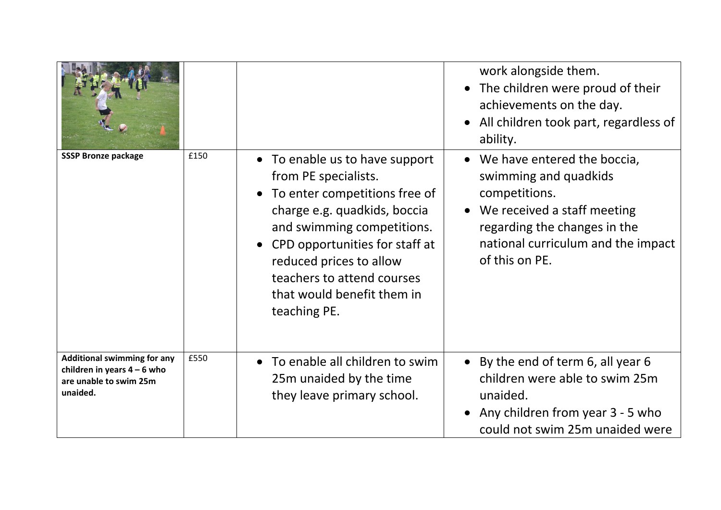|                                                                                                           |      |                                                                                                                                                                                                                                                                                                | work alongside them.<br>The children were proud of their<br>achievements on the day.<br>All children took part, regardless of<br>ability.                                                      |
|-----------------------------------------------------------------------------------------------------------|------|------------------------------------------------------------------------------------------------------------------------------------------------------------------------------------------------------------------------------------------------------------------------------------------------|------------------------------------------------------------------------------------------------------------------------------------------------------------------------------------------------|
| <b>SSSP Bronze package</b>                                                                                | £150 | • To enable us to have support<br>from PE specialists.<br>To enter competitions free of<br>charge e.g. quadkids, boccia<br>and swimming competitions.<br>CPD opportunities for staff at<br>reduced prices to allow<br>teachers to attend courses<br>that would benefit them in<br>teaching PE. | • We have entered the boccia,<br>swimming and quadkids<br>competitions.<br>We received a staff meeting<br>regarding the changes in the<br>national curriculum and the impact<br>of this on PE. |
| <b>Additional swimming for any</b><br>children in years $4 - 6$ who<br>are unable to swim 25m<br>unaided. | £550 | To enable all children to swim<br>$\bullet$<br>25m unaided by the time<br>they leave primary school.                                                                                                                                                                                           | • By the end of term 6, all year 6<br>children were able to swim 25m<br>unaided.<br>Any children from year 3 - 5 who<br>could not swim 25m unaided were                                        |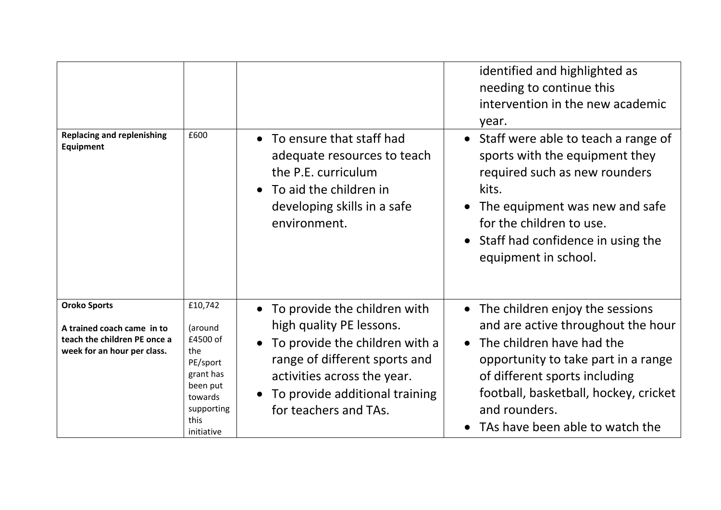|                                                                                                                  |                                                                                                                           |                                                                                                                                                                                                                                    | identified and highlighted as<br>needing to continue this<br>intervention in the new academic<br>year.                                                                                                                                                                      |
|------------------------------------------------------------------------------------------------------------------|---------------------------------------------------------------------------------------------------------------------------|------------------------------------------------------------------------------------------------------------------------------------------------------------------------------------------------------------------------------------|-----------------------------------------------------------------------------------------------------------------------------------------------------------------------------------------------------------------------------------------------------------------------------|
| <b>Replacing and replenishing</b><br>Equipment                                                                   | £600                                                                                                                      | • To ensure that staff had<br>adequate resources to teach<br>the P.E. curriculum<br>To aid the children in<br>$\bullet$<br>developing skills in a safe<br>environment.                                                             | Staff were able to teach a range of<br>sports with the equipment they<br>required such as new rounders<br>kits.<br>The equipment was new and safe<br>for the children to use.<br>Staff had confidence in using the<br>equipment in school.                                  |
| <b>Oroko Sports</b><br>A trained coach came in to<br>teach the children PE once a<br>week for an hour per class. | £10,742<br>(around<br>£4500 of<br>the<br>PE/sport<br>grant has<br>been put<br>towards<br>supporting<br>this<br>initiative | To provide the children with<br>high quality PE lessons.<br>To provide the children with a<br>$\bullet$<br>range of different sports and<br>activities across the year.<br>To provide additional training<br>for teachers and TAs. | • The children enjoy the sessions<br>and are active throughout the hour<br>• The children have had the<br>opportunity to take part in a range<br>of different sports including<br>football, basketball, hockey, cricket<br>and rounders.<br>TAs have been able to watch the |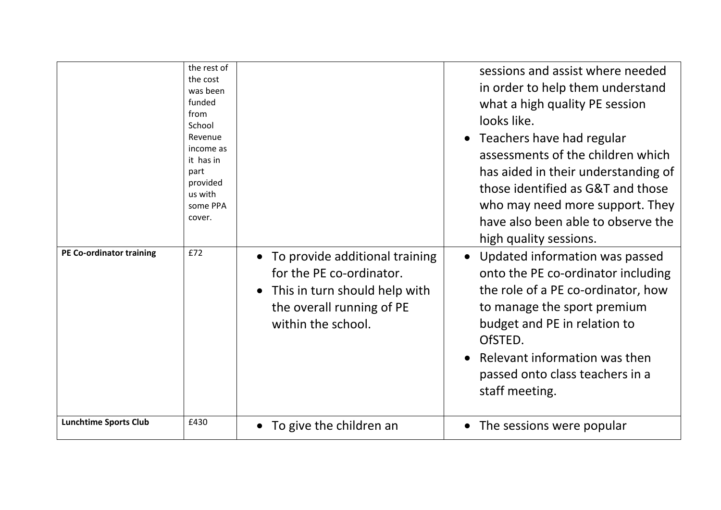| the rest of<br>the cost<br>was been<br>funded<br>from<br>looks like.<br>School<br>Revenue<br>$\bullet$<br>income as<br>it has in<br>part<br>provided<br>us with<br>some PPA<br>cover.<br><b>PE Co-ordinator training</b><br>£72<br>To provide additional training<br>$\bullet$<br>for the PE co-ordinator.<br>This in turn should help with<br>$\bullet$<br>the overall running of PE<br>within the school.<br>OfSTED.<br>staff meeting.<br><b>Lunchtime Sports Club</b><br>£430 |                                                                                                                                                                                                                                                                                                                                                                                                                                                                                                                                                                                                          |
|----------------------------------------------------------------------------------------------------------------------------------------------------------------------------------------------------------------------------------------------------------------------------------------------------------------------------------------------------------------------------------------------------------------------------------------------------------------------------------|----------------------------------------------------------------------------------------------------------------------------------------------------------------------------------------------------------------------------------------------------------------------------------------------------------------------------------------------------------------------------------------------------------------------------------------------------------------------------------------------------------------------------------------------------------------------------------------------------------|
|                                                                                                                                                                                                                                                                                                                                                                                                                                                                                  | sessions and assist where needed<br>in order to help them understand<br>what a high quality PE session<br>Teachers have had regular<br>assessments of the children which<br>has aided in their understanding of<br>those identified as G&T and those<br>who may need more support. They<br>have also been able to observe the<br>high quality sessions.<br>Updated information was passed<br>onto the PE co-ordinator including<br>the role of a PE co-ordinator, how<br>to manage the sport premium<br>budget and PE in relation to<br>Relevant information was then<br>passed onto class teachers in a |
| To give the children an<br>$\bullet$                                                                                                                                                                                                                                                                                                                                                                                                                                             | The sessions were popular                                                                                                                                                                                                                                                                                                                                                                                                                                                                                                                                                                                |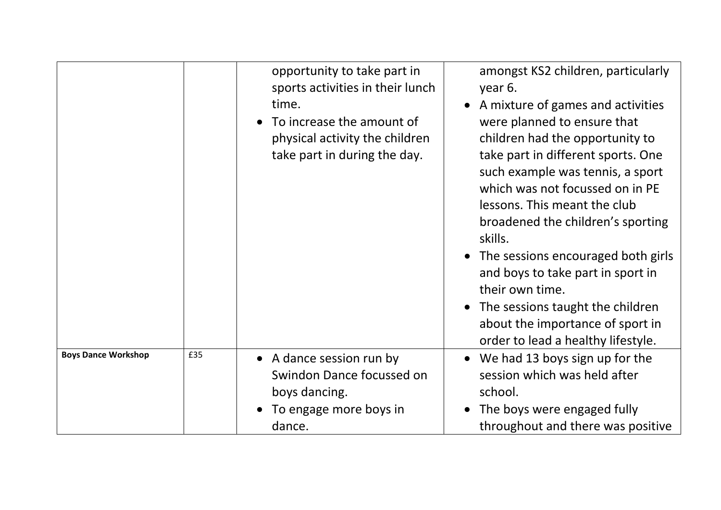|                            |     | opportunity to take part in<br>sports activities in their lunch<br>time.<br>To increase the amount of<br>physical activity the children<br>take part in during the day. | amongst KS2 children, particularly<br>year 6.<br>A mixture of games and activities<br>were planned to ensure that<br>children had the opportunity to<br>take part in different sports. One<br>such example was tennis, a sport<br>which was not focussed on in PE<br>lessons. This meant the club<br>broadened the children's sporting<br>skills.<br>• The sessions encouraged both girls<br>and boys to take part in sport in<br>their own time.<br>• The sessions taught the children<br>about the importance of sport in<br>order to lead a healthy lifestyle. |
|----------------------------|-----|-------------------------------------------------------------------------------------------------------------------------------------------------------------------------|-------------------------------------------------------------------------------------------------------------------------------------------------------------------------------------------------------------------------------------------------------------------------------------------------------------------------------------------------------------------------------------------------------------------------------------------------------------------------------------------------------------------------------------------------------------------|
| <b>Boys Dance Workshop</b> | £35 | • A dance session run by<br>Swindon Dance focussed on<br>boys dancing.<br>To engage more boys in<br>dance.                                                              | We had 13 boys sign up for the<br>$\bullet$<br>session which was held after<br>school.<br>The boys were engaged fully<br>throughout and there was positive                                                                                                                                                                                                                                                                                                                                                                                                        |